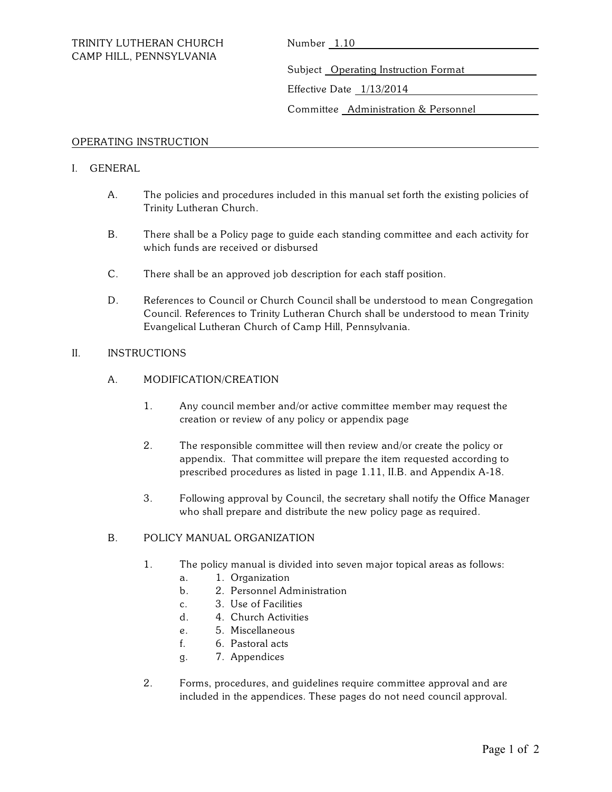Subject Operating Instruction Format

Effective Date 1/13/2014

Committee Administration & Personnel

## OPERATING INSTRUCTION

# I. GENERAL

- A. The policies and procedures included in this manual set forth the existing policies of Trinity Lutheran Church.
- B. There shall be a Policy page to guide each standing committee and each activity for which funds are received or disbursed
- C. There shall be an approved job description for each staff position.
- D. References to Council or Church Council shall be understood to mean Congregation Council. References to Trinity Lutheran Church shall be understood to mean Trinity Evangelical Lutheran Church of Camp Hill, Pennsylvania.

# II. INSTRUCTIONS

- A. MODIFICATION/CREATION
	- 1. Any council member and/or active committee member may request the creation or review of any policy or appendix page
	- 2. The responsible committee will then review and/or create the policy or appendix. That committee will prepare the item requested according to prescribed procedures as listed in page 1.11, II.B. and Appendix A-18.
	- 3. Following approval by Council, the secretary shall notify the Office Manager who shall prepare and distribute the new policy page as required.

#### B. POLICY MANUAL ORGANIZATION

- 1. The policy manual is divided into seven major topical areas as follows:
	- a. 1. Organization
	- b. 2. Personnel Administration
	- c. 3. Use of Facilities
	- d. 4. Church Activities
	- e. 5. Miscellaneous
	- f. 6. Pastoral acts
	- g. 7. Appendices
- 2. Forms, procedures, and guidelines require committee approval and are included in the appendices. These pages do not need council approval.